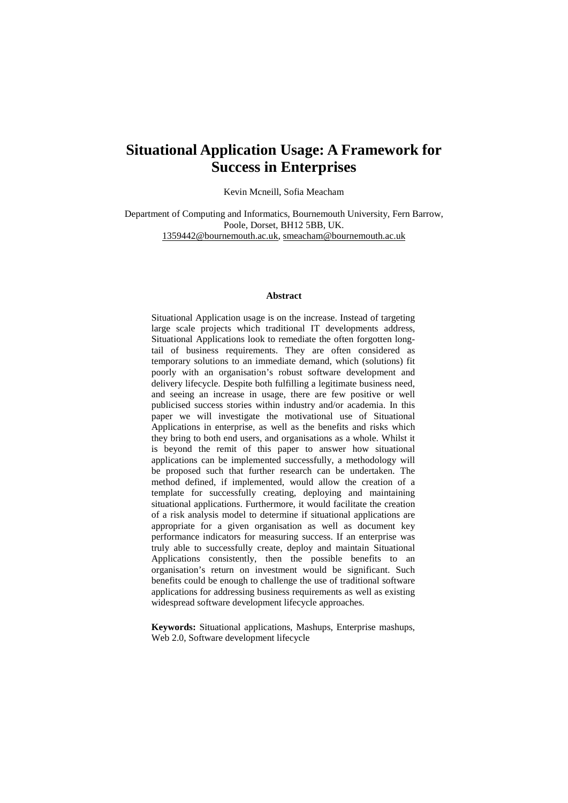# **Situational Application Usage: A Framework for Success in Enterprises**

Kevin Mcneill, Sofia Meacham

Department of Computing and Informatics, Bournemouth University, Fern Barrow, Poole, Dorset, BH12 5BB, UK. [1359442@bournemouth.ac.uk,](mailto:1359442@bournemouth.ac.uk) [smeacham@bournemouth.ac.uk](mailto:smeacham@bournemouth.ac.uk)

#### **Abstract**

Situational Application usage is on the increase. Instead of targeting large scale projects which traditional IT developments address, Situational Applications look to remediate the often forgotten longtail of business requirements. They are often considered as temporary solutions to an immediate demand, which (solutions) fit poorly with an organisation's robust software development and delivery lifecycle. Despite both fulfilling a legitimate business need, and seeing an increase in usage, there are few positive or well publicised success stories within industry and/or academia. In this paper we will investigate the motivational use of Situational Applications in enterprise, as well as the benefits and risks which they bring to both end users, and organisations as a whole. Whilst it is beyond the remit of this paper to answer how situational applications can be implemented successfully, a methodology will be proposed such that further research can be undertaken. The method defined, if implemented, would allow the creation of a template for successfully creating, deploying and maintaining situational applications. Furthermore, it would facilitate the creation of a risk analysis model to determine if situational applications are appropriate for a given organisation as well as document key performance indicators for measuring success. If an enterprise was truly able to successfully create, deploy and maintain Situational Applications consistently, then the possible benefits to an organisation's return on investment would be significant. Such benefits could be enough to challenge the use of traditional software applications for addressing business requirements as well as existing widespread software development lifecycle approaches.

**Keywords:** Situational applications, Mashups, Enterprise mashups, Web 2.0, Software development lifecycle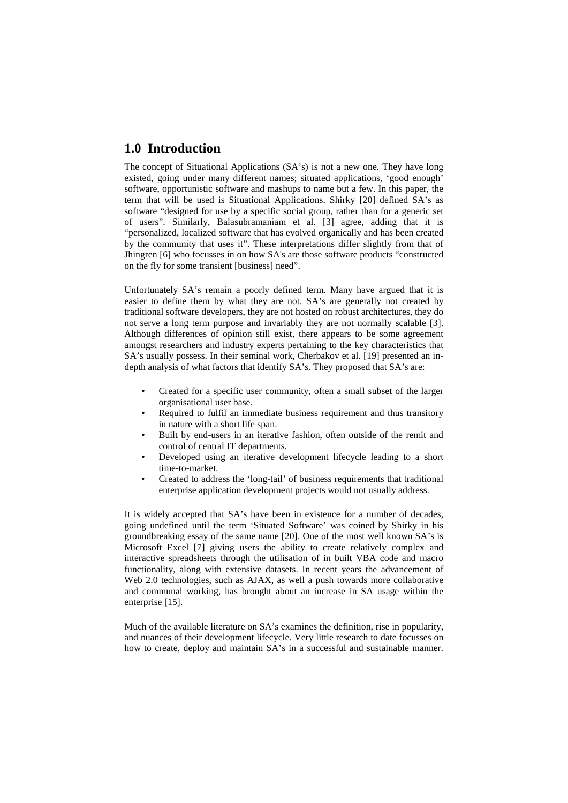## **1.0 Introduction**

The concept of Situational Applications (SA's) is not a new one. They have long existed, going under many different names; situated applications, 'good enough' software, opportunistic software and mashups to name but a few. In this paper, the term that will be used is Situational Applications. Shirky [20] defined SA's as software "designed for use by a specific social group, rather than for a generic set of users". Similarly, Balasubramaniam et al. [3] agree, adding that it is "personalized, localized software that has evolved organically and has been created by the community that uses it". These interpretations differ slightly from that of Jhingren [6] who focusses in on how SA's are those software products "constructed on the fly for some transient [business] need".

Unfortunately SA's remain a poorly defined term. Many have argued that it is easier to define them by what they are not. SA's are generally not created by traditional software developers, they are not hosted on robust architectures, they do not serve a long term purpose and invariably they are not normally scalable [3]. Although differences of opinion still exist, there appears to be some agreement amongst researchers and industry experts pertaining to the key characteristics that SA's usually possess. In their seminal work, Cherbakov et al. [19] presented an indepth analysis of what factors that identify SA's. They proposed that SA's are:

- Created for a specific user community, often a small subset of the larger organisational user base.
- Required to fulfil an immediate business requirement and thus transitory in nature with a short life span.
- Built by end-users in an iterative fashion, often outside of the remit and control of central IT departments.
- Developed using an iterative development lifecycle leading to a short time-to-market.
- Created to address the 'long-tail' of business requirements that traditional enterprise application development projects would not usually address.

It is widely accepted that SA's have been in existence for a number of decades, going undefined until the term 'Situated Software' was coined by Shirky in his groundbreaking essay of the same name [20]. One of the most well known SA's is Microsoft Excel [7] giving users the ability to create relatively complex and interactive spreadsheets through the utilisation of in built VBA code and macro functionality, along with extensive datasets. In recent years the advancement of Web 2.0 technologies, such as AJAX, as well a push towards more collaborative and communal working, has brought about an increase in SA usage within the enterprise [15].

Much of the available literature on SA's examines the definition, rise in popularity, and nuances of their development lifecycle. Very little research to date focusses on how to create, deploy and maintain SA's in a successful and sustainable manner.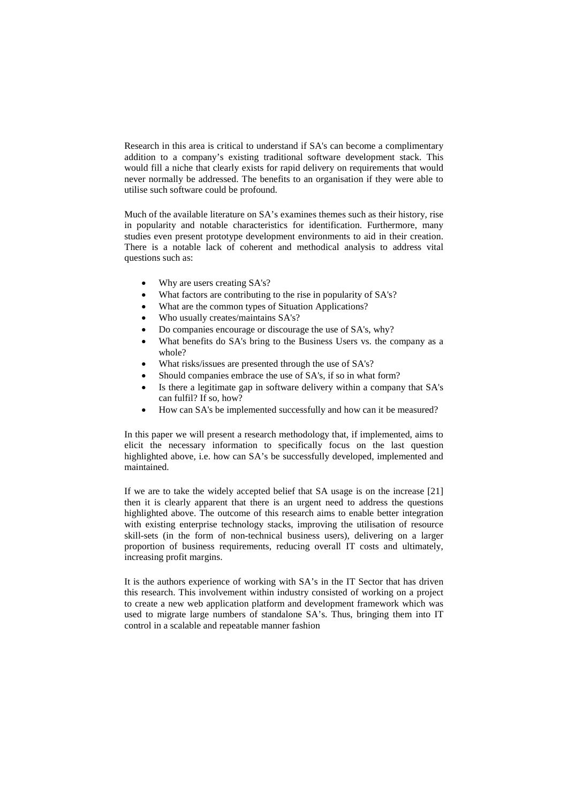Research in this area is critical to understand if SA's can become a complimentary addition to a company's existing traditional software development stack. This would fill a niche that clearly exists for rapid delivery on requirements that would never normally be addressed. The benefits to an organisation if they were able to utilise such software could be profound.

Much of the available literature on SA's examines themes such as their history, rise in popularity and notable characteristics for identification. Furthermore, many studies even present prototype development environments to aid in their creation. There is a notable lack of coherent and methodical analysis to address vital questions such as:

- Why are users creating SA's?
- What factors are contributing to the rise in popularity of SA's?
- What are the common types of Situation Applications?
- Who usually creates/maintains SA's?
- Do companies encourage or discourage the use of SA's, why?
- What benefits do SA's bring to the Business Users vs. the company as a whole?
- What risks/issues are presented through the use of SA's?
- Should companies embrace the use of SA's, if so in what form?
- Is there a legitimate gap in software delivery within a company that SA's can fulfil? If so, how?
- How can SA's be implemented successfully and how can it be measured?

In this paper we will present a research methodology that, if implemented, aims to elicit the necessary information to specifically focus on the last question highlighted above, i.e. how can SA's be successfully developed, implemented and maintained.

If we are to take the widely accepted belief that SA usage is on the increase [21] then it is clearly apparent that there is an urgent need to address the questions highlighted above. The outcome of this research aims to enable better integration with existing enterprise technology stacks, improving the utilisation of resource skill-sets (in the form of non-technical business users), delivering on a larger proportion of business requirements, reducing overall IT costs and ultimately, increasing profit margins.

It is the authors experience of working with SA's in the IT Sector that has driven this research. This involvement within industry consisted of working on a project to create a new web application platform and development framework which was used to migrate large numbers of standalone SA's. Thus, bringing them into IT control in a scalable and repeatable manner fashion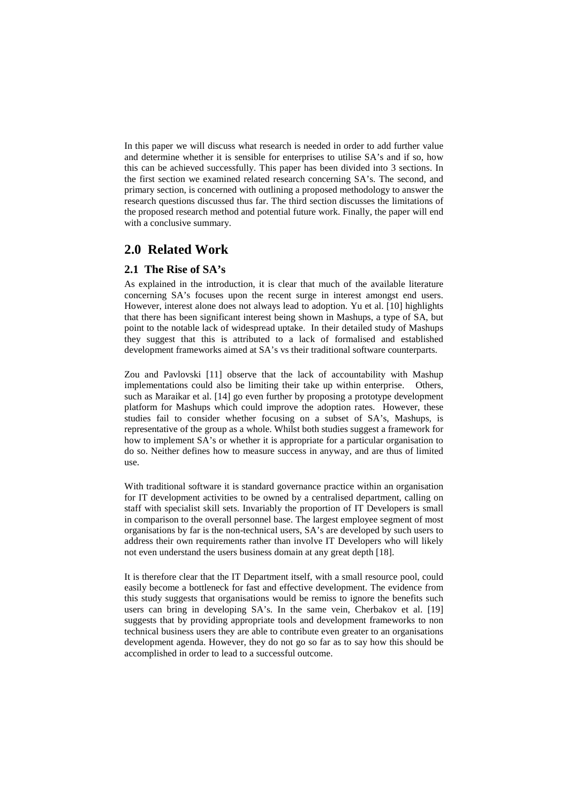In this paper we will discuss what research is needed in order to add further value and determine whether it is sensible for enterprises to utilise SA's and if so, how this can be achieved successfully. This paper has been divided into 3 sections. In the first section we examined related research concerning SA's. The second, and primary section, is concerned with outlining a proposed methodology to answer the research questions discussed thus far. The third section discusses the limitations of the proposed research method and potential future work. Finally, the paper will end with a conclusive summary.

## **2.0 Related Work**

### **2.1 The Rise of SA's**

As explained in the introduction, it is clear that much of the available literature concerning SA's focuses upon the recent surge in interest amongst end users. However, interest alone does not always lead to adoption. Yu et al. [10] highlights that there has been significant interest being shown in Mashups, a type of SA, but point to the notable lack of widespread uptake. In their detailed study of Mashups they suggest that this is attributed to a lack of formalised and established development frameworks aimed at SA's vs their traditional software counterparts.

Zou and Pavlovski [11] observe that the lack of accountability with Mashup implementations could also be limiting their take up within enterprise. Others, such as Maraikar et al. [14] go even further by proposing a prototype development platform for Mashups which could improve the adoption rates. However, these studies fail to consider whether focusing on a subset of SA's, Mashups, is representative of the group as a whole. Whilst both studies suggest a framework for how to implement SA's or whether it is appropriate for a particular organisation to do so. Neither defines how to measure success in anyway, and are thus of limited use.

With traditional software it is standard governance practice within an organisation for IT development activities to be owned by a centralised department, calling on staff with specialist skill sets. Invariably the proportion of IT Developers is small in comparison to the overall personnel base. The largest employee segment of most organisations by far is the non-technical users, SA's are developed by such users to address their own requirements rather than involve IT Developers who will likely not even understand the users business domain at any great depth [18].

It is therefore clear that the IT Department itself, with a small resource pool, could easily become a bottleneck for fast and effective development. The evidence from this study suggests that organisations would be remiss to ignore the benefits such users can bring in developing SA's. In the same vein, Cherbakov et al. [19] suggests that by providing appropriate tools and development frameworks to non technical business users they are able to contribute even greater to an organisations development agenda. However, they do not go so far as to say how this should be accomplished in order to lead to a successful outcome.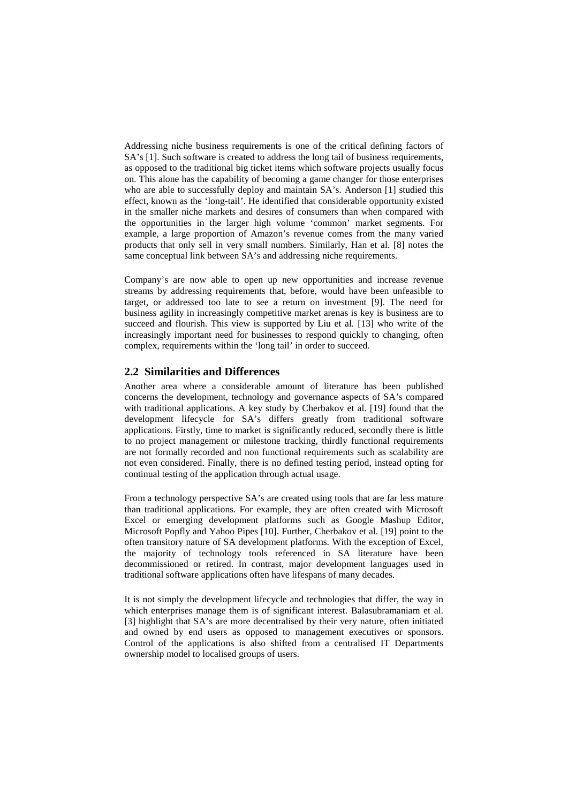Addressing niche business requirements is one of the critical defining factors of SA's [1]. Such software is created to address the long tail of business requirements, as opposed to the traditional big ticket items which software projects usually focus on. This alone has the capability of becoming a game changer for those enterprises who are able to successfully deploy and maintain SA's. Anderson [1] studied this effect, known as the 'long-tail'. He identified that considerable opportunity existed in the smaller niche markets and desires of consumers than when compared with the opportunities in the larger high volume 'common' market segments. For example, a large proportion of Amazon's revenue comes from the many varied products that only sell in very small numbers. Similarly, Han et al. [8] notes the same conceptual link between SA's and addressing niche requirements.

Company's are now able to open up new opportunities and increase revenue streams by addressing requirements that, before, would have been unfeasible to target, or addressed too late to see a return on investment [9]. The need for business agility in increasingly competitive market arenas is key is business are to succeed and flourish. This view is supported by Liu et al. [13] who write of the increasingly important need for businesses to respond quickly to changing, often complex, requirements within the 'long tail' in order to succeed.

### **2.2 Similarities and Differences**

Another area where a considerable amount of literature has been published concerns the development, technology and governance aspects of SA's compared with traditional applications. A key study by Cherbakov et al. [19] found that the development lifecycle for SA's differs greatly from traditional software applications. Firstly, time to market is significantly reduced, secondly there is little to no project management or milestone tracking, thirdly functional requirements are not formally recorded and non functional requirements such as scalability are not even considered. Finally, there is no defined testing period, instead opting for continual testing of the application through actual usage.

From a technology perspective SA's are created using tools that are far less mature than traditional applications. For example, they are often created with Microsoft Excel or emerging development platforms such as Google Mashup Editor, Microsoft Popfly and Yahoo Pipes [10]. Further, Cherbakov et al. [19] point to the often transitory nature of SA development platforms. With the exception of Excel, the majority of technology tools referenced in SA literature have been decommissioned or retired. In contrast, major development languages used in traditional software applications often have lifespans of many decades.

It is not simply the development lifecycle and technologies that differ, the way in which enterprises manage them is of significant interest. Balasubramaniam et al. [3] highlight that SA's are more decentralised by their very nature, often initiated and owned by end users as opposed to management executives or sponsors. Control of the applications is also shifted from a centralised IT Departments ownership model to localised groups of users.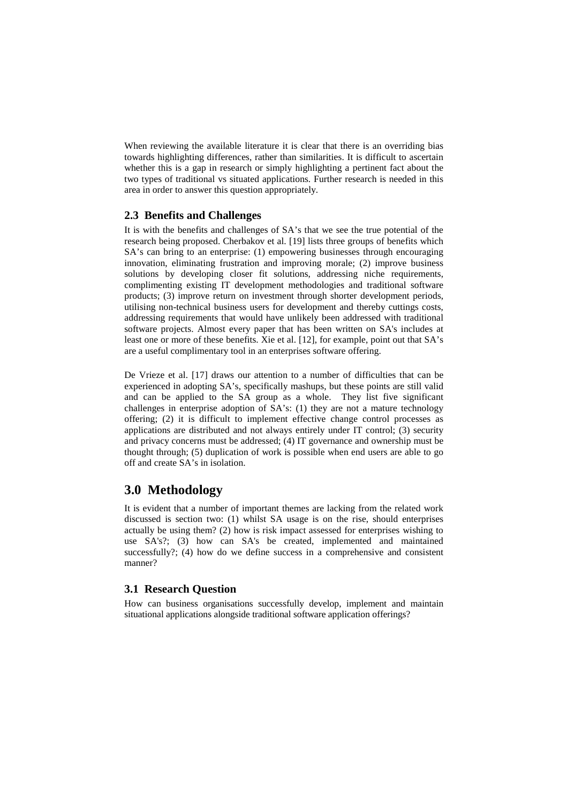When reviewing the available literature it is clear that there is an overriding bias towards highlighting differences, rather than similarities. It is difficult to ascertain whether this is a gap in research or simply highlighting a pertinent fact about the two types of traditional vs situated applications. Further research is needed in this area in order to answer this question appropriately.

### **2.3 Benefits and Challenges**

It is with the benefits and challenges of SA's that we see the true potential of the research being proposed. Cherbakov et al. [19] lists three groups of benefits which SA's can bring to an enterprise: (1) empowering businesses through encouraging innovation, eliminating frustration and improving morale; (2) improve business solutions by developing closer fit solutions, addressing niche requirements, complimenting existing IT development methodologies and traditional software products; (3) improve return on investment through shorter development periods, utilising non-technical business users for development and thereby cuttings costs, addressing requirements that would have unlikely been addressed with traditional software projects. Almost every paper that has been written on SA's includes at least one or more of these benefits. Xie et al. [12], for example, point out that SA's are a useful complimentary tool in an enterprises software offering.

De Vrieze et al. [17] draws our attention to a number of difficulties that can be experienced in adopting SA's, specifically mashups, but these points are still valid and can be applied to the SA group as a whole. They list five significant challenges in enterprise adoption of SA's: (1) they are not a mature technology offering; (2) it is difficult to implement effective change control processes as applications are distributed and not always entirely under IT control; (3) security and privacy concerns must be addressed; (4) IT governance and ownership must be thought through; (5) duplication of work is possible when end users are able to go off and create SA's in isolation.

## **3.0 Methodology**

It is evident that a number of important themes are lacking from the related work discussed is section two: (1) whilst SA usage is on the rise, should enterprises actually be using them? (2) how is risk impact assessed for enterprises wishing to use SA's?; (3) how can SA's be created, implemented and maintained successfully?; (4) how do we define success in a comprehensive and consistent manner?

## **3.1 Research Question**

How can business organisations successfully develop, implement and maintain situational applications alongside traditional software application offerings?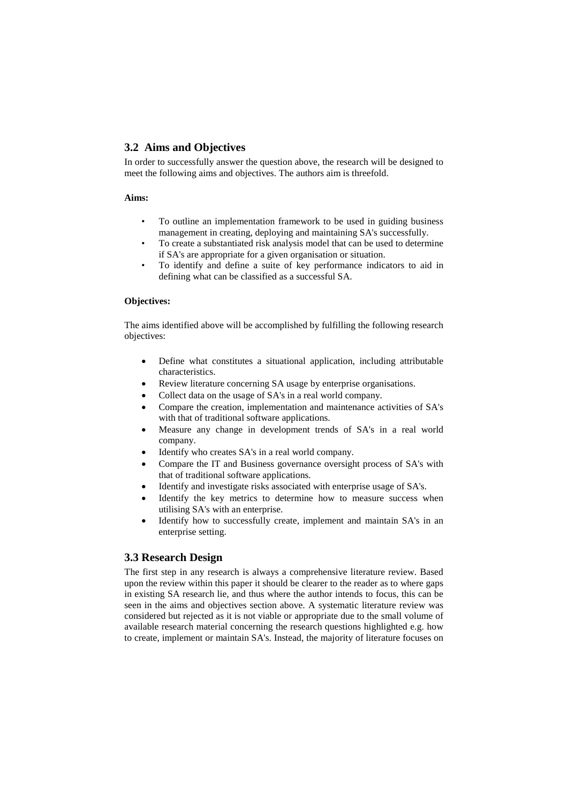## **3.2 Aims and Objectives**

In order to successfully answer the question above, the research will be designed to meet the following aims and objectives. The authors aim is threefold.

#### **Aims:**

- To outline an implementation framework to be used in guiding business management in creating, deploying and maintaining SA's successfully.
- To create a substantiated risk analysis model that can be used to determine if SA's are appropriate for a given organisation or situation.
- To identify and define a suite of key performance indicators to aid in defining what can be classified as a successful SA.

#### **Objectives:**

The aims identified above will be accomplished by fulfilling the following research objectives:

- Define what constitutes a situational application, including attributable characteristics.
- Review literature concerning SA usage by enterprise organisations.
- Collect data on the usage of SA's in a real world company.
- Compare the creation, implementation and maintenance activities of SA's with that of traditional software applications.
- Measure any change in development trends of SA's in a real world company.
- Identify who creates SA's in a real world company.
- Compare the IT and Business governance oversight process of SA's with that of traditional software applications.
- Identify and investigate risks associated with enterprise usage of SA's.
- Identify the key metrics to determine how to measure success when utilising SA's with an enterprise.
- Identify how to successfully create, implement and maintain SA's in an enterprise setting.

## **3.3 Research Design**

The first step in any research is always a comprehensive literature review. Based upon the review within this paper it should be clearer to the reader as to where gaps in existing SA research lie, and thus where the author intends to focus, this can be seen in the aims and objectives section above. A systematic literature review was considered but rejected as it is not viable or appropriate due to the small volume of available research material concerning the research questions highlighted e.g. how to create, implement or maintain SA's. Instead, the majority of literature focuses on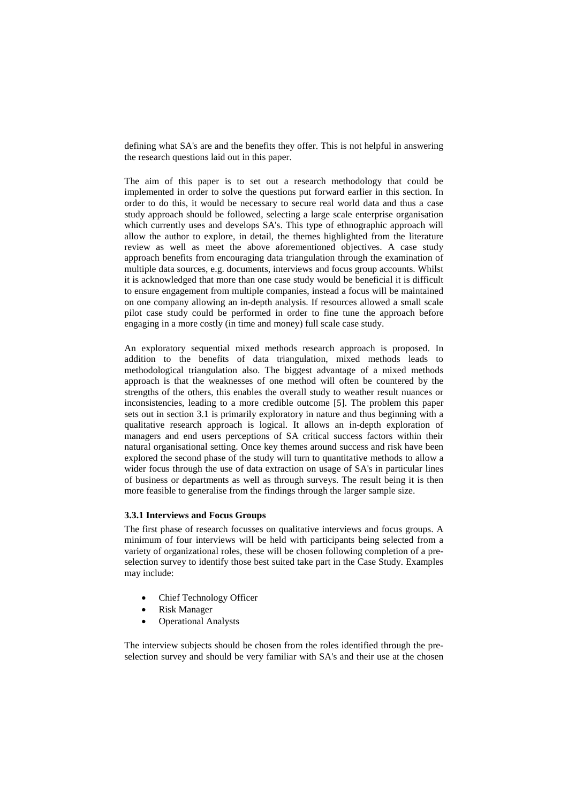defining what SA's are and the benefits they offer. This is not helpful in answering the research questions laid out in this paper.

The aim of this paper is to set out a research methodology that could be implemented in order to solve the questions put forward earlier in this section. In order to do this, it would be necessary to secure real world data and thus a case study approach should be followed, selecting a large scale enterprise organisation which currently uses and develops SA's. This type of ethnographic approach will allow the author to explore, in detail, the themes highlighted from the literature review as well as meet the above aforementioned objectives. A case study approach benefits from encouraging data triangulation through the examination of multiple data sources, e.g. documents, interviews and focus group accounts. Whilst it is acknowledged that more than one case study would be beneficial it is difficult to ensure engagement from multiple companies, instead a focus will be maintained on one company allowing an in-depth analysis. If resources allowed a small scale pilot case study could be performed in order to fine tune the approach before engaging in a more costly (in time and money) full scale case study.

An exploratory sequential mixed methods research approach is proposed. In addition to the benefits of data triangulation, mixed methods leads to methodological triangulation also. The biggest advantage of a mixed methods approach is that the weaknesses of one method will often be countered by the strengths of the others, this enables the overall study to weather result nuances or inconsistencies, leading to a more credible outcome [5]. The problem this paper sets out in section 3.1 is primarily exploratory in nature and thus beginning with a qualitative research approach is logical. It allows an in-depth exploration of managers and end users perceptions of SA critical success factors within their natural organisational setting. Once key themes around success and risk have been explored the second phase of the study will turn to quantitative methods to allow a wider focus through the use of data extraction on usage of SA's in particular lines of business or departments as well as through surveys. The result being it is then more feasible to generalise from the findings through the larger sample size.

#### **3.3.1 Interviews and Focus Groups**

The first phase of research focusses on qualitative interviews and focus groups. A minimum of four interviews will be held with participants being selected from a variety of organizational roles, these will be chosen following completion of a preselection survey to identify those best suited take part in the Case Study. Examples may include:

- Chief Technology Officer
- **Risk Manager**
- Operational Analysts

The interview subjects should be chosen from the roles identified through the preselection survey and should be very familiar with SA's and their use at the chosen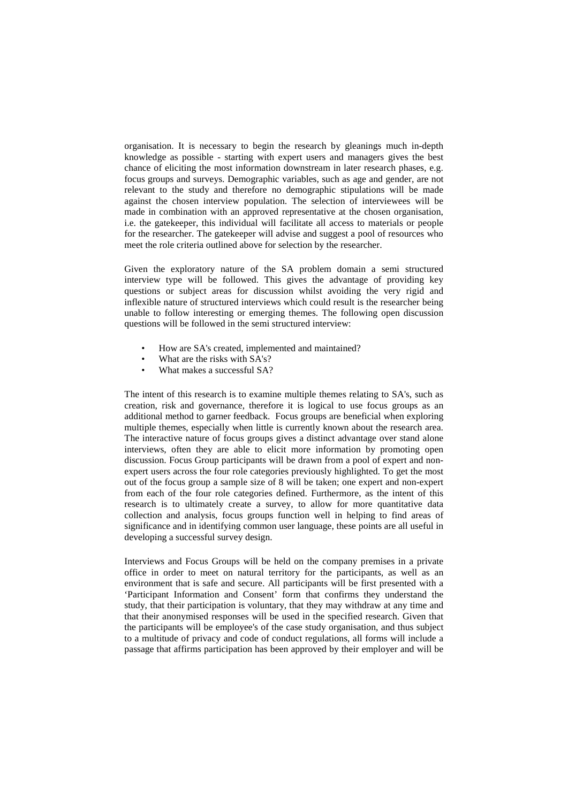organisation. It is necessary to begin the research by gleanings much in-depth knowledge as possible - starting with expert users and managers gives the best chance of eliciting the most information downstream in later research phases, e.g. focus groups and surveys. Demographic variables, such as age and gender, are not relevant to the study and therefore no demographic stipulations will be made against the chosen interview population. The selection of interviewees will be made in combination with an approved representative at the chosen organisation, i.e. the gatekeeper, this individual will facilitate all access to materials or people for the researcher. The gatekeeper will advise and suggest a pool of resources who meet the role criteria outlined above for selection by the researcher.

Given the exploratory nature of the SA problem domain a semi structured interview type will be followed. This gives the advantage of providing key questions or subject areas for discussion whilst avoiding the very rigid and inflexible nature of structured interviews which could result is the researcher being unable to follow interesting or emerging themes. The following open discussion questions will be followed in the semi structured interview:

- How are SA's created, implemented and maintained?
- What are the risks with SA's?
- What makes a successful SA?

The intent of this research is to examine multiple themes relating to SA's, such as creation, risk and governance, therefore it is logical to use focus groups as an additional method to garner feedback. Focus groups are beneficial when exploring multiple themes, especially when little is currently known about the research area. The interactive nature of focus groups gives a distinct advantage over stand alone interviews, often they are able to elicit more information by promoting open discussion. Focus Group participants will be drawn from a pool of expert and nonexpert users across the four role categories previously highlighted. To get the most out of the focus group a sample size of 8 will be taken; one expert and non-expert from each of the four role categories defined. Furthermore, as the intent of this research is to ultimately create a survey, to allow for more quantitative data collection and analysis, focus groups function well in helping to find areas of significance and in identifying common user language, these points are all useful in developing a successful survey design.

Interviews and Focus Groups will be held on the company premises in a private office in order to meet on natural territory for the participants, as well as an environment that is safe and secure. All participants will be first presented with a 'Participant Information and Consent' form that confirms they understand the study, that their participation is voluntary, that they may withdraw at any time and that their anonymised responses will be used in the specified research. Given that the participants will be employee's of the case study organisation, and thus subject to a multitude of privacy and code of conduct regulations, all forms will include a passage that affirms participation has been approved by their employer and will be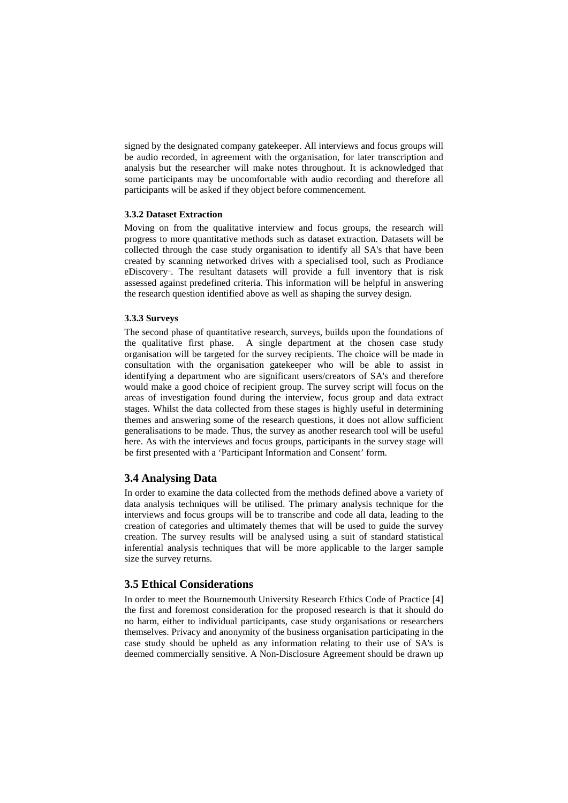signed by the designated company gatekeeper. All interviews and focus groups will be audio recorded, in agreement with the organisation, for later transcription and analysis but the researcher will make notes throughout. It is acknowledged that some participants may be uncomfortable with audio recording and therefore all participants will be asked if they object before commencement.

#### **3.3.2 Dataset Extraction**

Moving on from the qualitative interview and focus groups, the research will progress to more quantitative methods such as dataset extraction. Datasets will be collected through the case study organisation to identify all SA's that have been created by scanning networked drives with a specialised tool, such as Prodiance eDiscovery<sup>-</sup>. The resultant datasets will provide a full inventory that is risk assessed against predefined criteria. This information will be helpful in answering the research question identified above as well as shaping the survey design.

#### **3.3.3 Surveys**

The second phase of quantitative research, surveys, builds upon the foundations of the qualitative first phase. A single department at the chosen case study organisation will be targeted for the survey recipients. The choice will be made in consultation with the organisation gatekeeper who will be able to assist in identifying a department who are significant users/creators of SA's and therefore would make a good choice of recipient group. The survey script will focus on the areas of investigation found during the interview, focus group and data extract stages. Whilst the data collected from these stages is highly useful in determining themes and answering some of the research questions, it does not allow sufficient generalisations to be made. Thus, the survey as another research tool will be useful here. As with the interviews and focus groups, participants in the survey stage will be first presented with a 'Participant Information and Consent' form.

## **3.4 Analysing Data**

In order to examine the data collected from the methods defined above a variety of data analysis techniques will be utilised. The primary analysis technique for the interviews and focus groups will be to transcribe and code all data, leading to the creation of categories and ultimately themes that will be used to guide the survey creation. The survey results will be analysed using a suit of standard statistical inferential analysis techniques that will be more applicable to the larger sample size the survey returns.

### **3.5 Ethical Considerations**

In order to meet the Bournemouth University Research Ethics Code of Practice [4] the first and foremost consideration for the proposed research is that it should do no harm, either to individual participants, case study organisations or researchers themselves. Privacy and anonymity of the business organisation participating in the case study should be upheld as any information relating to their use of SA's is deemed commercially sensitive. A Non-Disclosure Agreement should be drawn up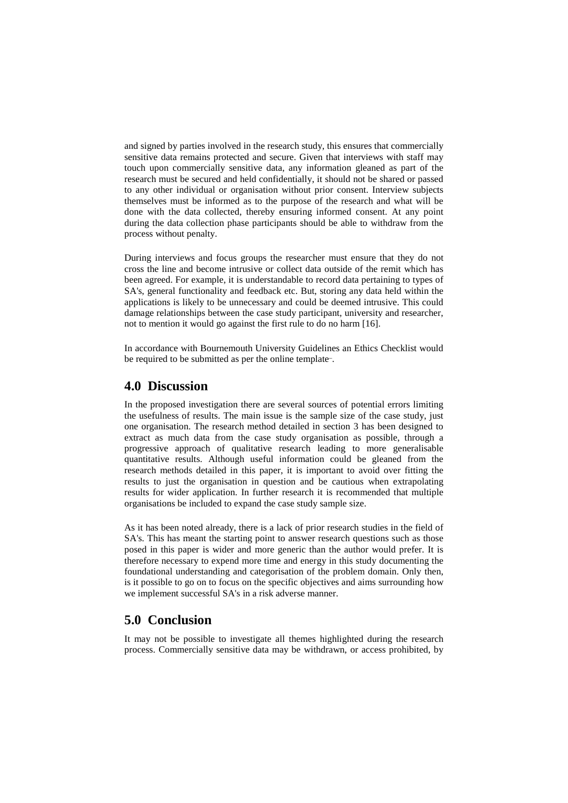and signed by parties involved in the research study, this ensures that commercially sensitive data remains protected and secure. Given that interviews with staff may touch upon commercially sensitive data, any information gleaned as part of the research must be secured and held confidentially, it should not be shared or passed to any other individual or organisation without prior consent. Interview subjects themselves must be informed as to the purpose of the research and what will be done with the data collected, thereby ensuring informed consent. At any point during the data collection phase participants should be able to withdraw from the process without penalty.

During interviews and focus groups the researcher must ensure that they do not cross the line and become intrusive or collect data outside of the remit which has been agreed. For example, it is understandable to record data pertaining to types of SA's, general functionality and feedback etc. But, storing any data held within the applications is likely to be unnecessary and could be deemed intrusive. This could damage relationships between the case study participant, university and researcher, not to mention it would go against the first rule to do no harm [16].

In accordance with Bournemouth University Guidelines an Ethics Checklist would be required to be submitted as per the online template<sup>-</sup>.

## **4.0 Discussion**

In the proposed investigation there are several sources of potential errors limiting the usefulness of results. The main issue is the sample size of the case study, just one organisation. The research method detailed in section 3 has been designed to extract as much data from the case study organisation as possible, through a progressive approach of qualitative research leading to more generalisable quantitative results. Although useful information could be gleaned from the research methods detailed in this paper, it is important to avoid over fitting the results to just the organisation in question and be cautious when extrapolating results for wider application. In further research it is recommended that multiple organisations be included to expand the case study sample size.

As it has been noted already, there is a lack of prior research studies in the field of SA's. This has meant the starting point to answer research questions such as those posed in this paper is wider and more generic than the author would prefer. It is therefore necessary to expend more time and energy in this study documenting the foundational understanding and categorisation of the problem domain. Only then, is it possible to go on to focus on the specific objectives and aims surrounding how we implement successful SA's in a risk adverse manner.

## **5.0 Conclusion**

It may not be possible to investigate all themes highlighted during the research process. Commercially sensitive data may be withdrawn, or access prohibited, by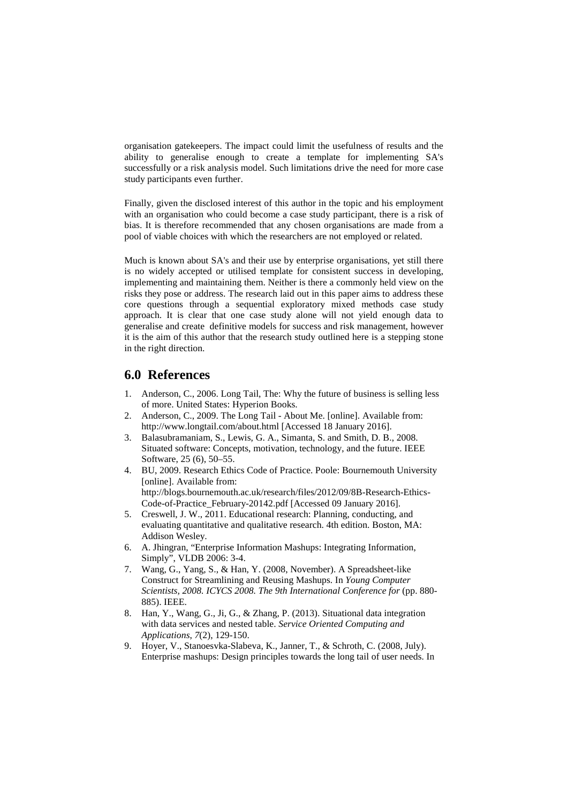organisation gatekeepers. The impact could limit the usefulness of results and the ability to generalise enough to create a template for implementing SA's successfully or a risk analysis model. Such limitations drive the need for more case study participants even further.

Finally, given the disclosed interest of this author in the topic and his employment with an organisation who could become a case study participant, there is a risk of bias. It is therefore recommended that any chosen organisations are made from a pool of viable choices with which the researchers are not employed or related.

Much is known about SA's and their use by enterprise organisations, yet still there is no widely accepted or utilised template for consistent success in developing, implementing and maintaining them. Neither is there a commonly held view on the risks they pose or address. The research laid out in this paper aims to address these core questions through a sequential exploratory mixed methods case study approach. It is clear that one case study alone will not yield enough data to generalise and create definitive models for success and risk management, however it is the aim of this author that the research study outlined here is a stepping stone in the right direction.

## **6.0 References**

- Anderson, C., 2006. Long Tail, The: Why the future of business is selling less of more. United States: Hyperion Books.
- 2. Anderson, C., 2009. The Long Tail About Me. [online]. Available from: http://www.longtail.com/about.html [Accessed 18 January 2016].
- 3. Balasubramaniam, S., Lewis, G. A., Simanta, S. and Smith, D. B., 2008. Situated software: Concepts, motivation, technology, and the future. IEEE Software, 25 (6), 50–55.
- 4. BU, 2009. Research Ethics Code of Practice. Poole: Bournemouth University [online]. Available from: http://blogs.bournemouth.ac.uk/research/files/2012/09/8B-Research-Ethics-Code-of-Practice\_February-20142.pdf [Accessed 09 January 2016].
- 5. Creswell, J. W., 2011. Educational research: Planning, conducting, and evaluating quantitative and qualitative research. 4th edition. Boston, MA: Addison Wesley.
- 6. A. Jhingran, "Enterprise Information Mashups: Integrating Information, Simply", VLDB 2006: 3-4.
- 7. Wang, G., Yang, S., & Han, Y. (2008, November). A Spreadsheet-like Construct for Streamlining and Reusing Mashups. In *Young Computer Scientists, 2008. ICYCS 2008. The 9th International Conference for* (pp. 880- 885). IEEE.
- 8. Han, Y., Wang, G., Ji, G., & Zhang, P. (2013). Situational data integration with data services and nested table. *Service Oriented Computing and Applications*, *7*(2), 129-150.
- 9. Hoyer, V., Stanoesvka-Slabeva, K., Janner, T., & Schroth, C. (2008, July). Enterprise mashups: Design principles towards the long tail of user needs. In